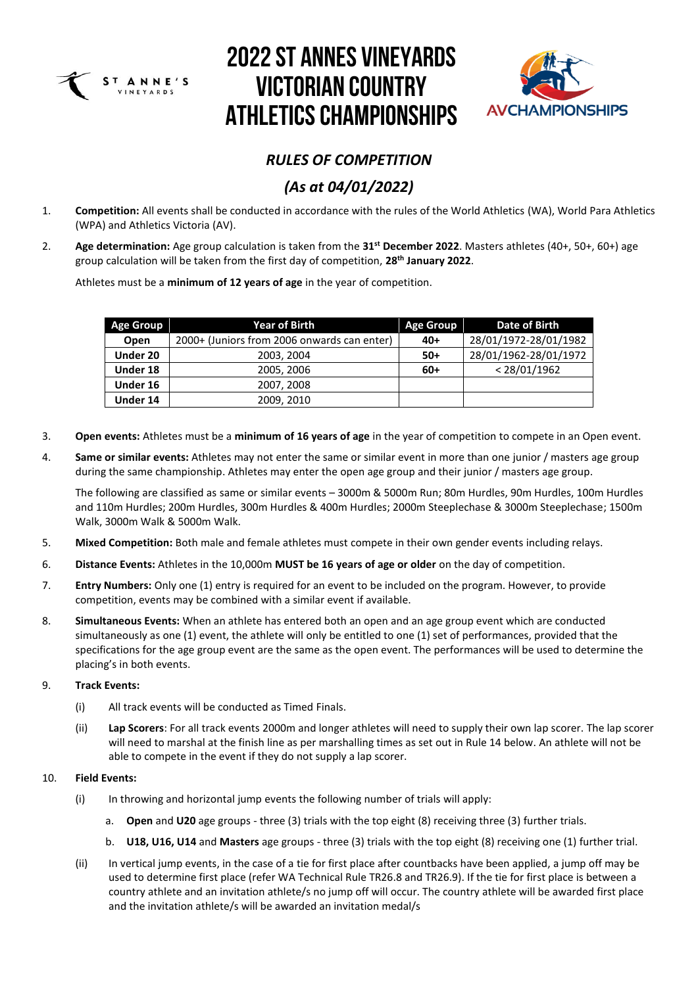



### *RULES OF COMPETITION*

### *(As at 04/01/2022)*

- 1. **Competition:** All events shall be conducted in accordance with the rules of the World Athletics (WA), World Para Athletics (WPA) and Athletics Victoria (AV).
- 2. **Age determination:** Age group calculation is taken from the **31st December 2022**. Masters athletes (40+, 50+, 60+) age group calculation will be taken from the first day of competition, **28 th January 2022**.

Athletes must be a **minimum of 12 years of age** in the year of competition.

| <b>Age Group</b> | <b>Year of Birth</b>                        | <b>Age Group</b> | Date of Birth         |
|------------------|---------------------------------------------|------------------|-----------------------|
| <b>Open</b>      | 2000+ (Juniors from 2006 onwards can enter) | $40+$            | 28/01/1972-28/01/1982 |
| Under 20         | 2003, 2004                                  | $50+$            | 28/01/1962-28/01/1972 |
| Under 18         | 2005, 2006                                  | $60+$            | < 28/01/1962          |
| Under 16         | 2007, 2008                                  |                  |                       |
| Under 14         | 2009, 2010                                  |                  |                       |

- 3. **Open events:** Athletes must be a **minimum of 16 years of age** in the year of competition to compete in an Open event.
- 4. **Same or similar events:** Athletes may not enter the same or similar event in more than one junior / masters age group during the same championship. Athletes may enter the open age group and their junior / masters age group.

The following are classified as same or similar events – 3000m & 5000m Run; 80m Hurdles, 90m Hurdles, 100m Hurdles and 110m Hurdles; 200m Hurdles, 300m Hurdles & 400m Hurdles; 2000m Steeplechase & 3000m Steeplechase; 1500m Walk, 3000m Walk & 5000m Walk.

- 5. **Mixed Competition:** Both male and female athletes must compete in their own gender events including relays.
- 6. **Distance Events:** Athletes in the 10,000m **MUST be 16 years of age or older** on the day of competition.
- 7. **Entry Numbers:** Only one (1) entry is required for an event to be included on the program. However, to provide competition, events may be combined with a similar event if available.
- 8. **Simultaneous Events:** When an athlete has entered both an open and an age group event which are conducted simultaneously as one (1) event, the athlete will only be entitled to one (1) set of performances, provided that the specifications for the age group event are the same as the open event. The performances will be used to determine the placing's in both events.

### 9. **Track Events:**

- (i) All track events will be conducted as Timed Finals.
- (ii) **Lap Scorers**: For all track events 2000m and longer athletes will need to supply their own lap scorer. The lap scorer will need to marshal at the finish line as per marshalling times as set out in Rule 14 below. An athlete will not be able to compete in the event if they do not supply a lap scorer.

#### 10. **Field Events:**

- (i) In throwing and horizontal jump events the following number of trials will apply:
	- a. **Open** and **U20** age groups three (3) trials with the top eight (8) receiving three (3) further trials.
	- b. **U18, U16, U14** and **Masters** age groups three (3) trials with the top eight (8) receiving one (1) further trial.
- (ii) In vertical jump events, in the case of a tie for first place after countbacks have been applied, a jump off may be used to determine first place (refer WA Technical Rule TR26.8 and TR26.9). If the tie for first place is between a country athlete and an invitation athlete/s no jump off will occur. The country athlete will be awarded first place and the invitation athlete/s will be awarded an invitation medal/s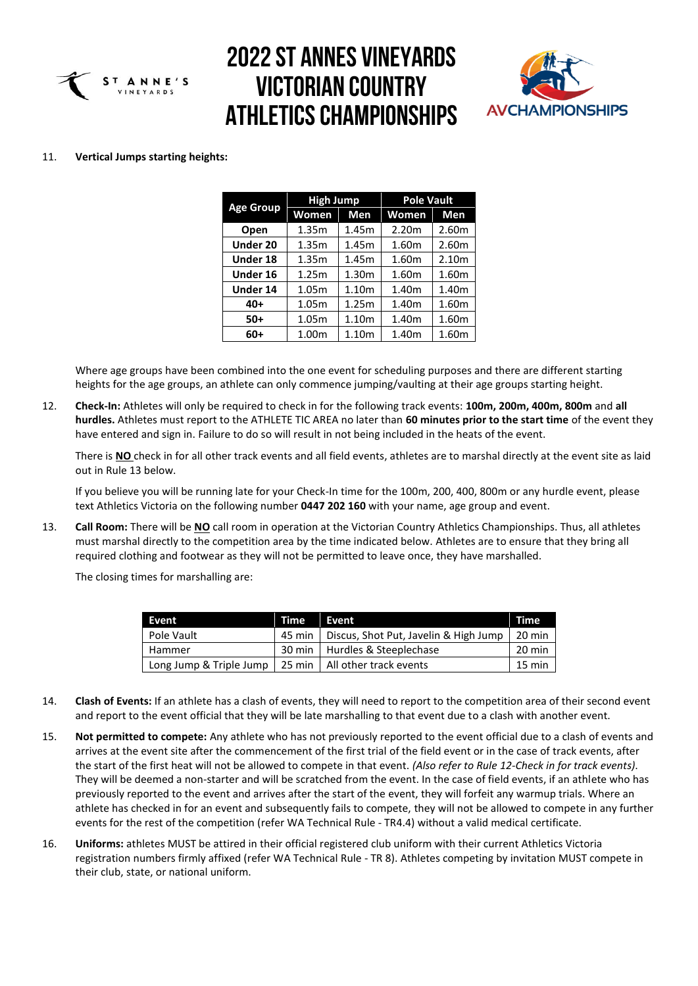



#### 11. **Vertical Jumps starting heights:**

|                  | <b>High Jump</b> |            | <b>Pole Vault</b> |                   |  |  |
|------------------|------------------|------------|-------------------|-------------------|--|--|
| <b>Age Group</b> | Women            | <b>Men</b> | Women             | Men               |  |  |
| Open             | 1.35m            | 1.45m      | 2.20 <sub>m</sub> | 2.60m             |  |  |
| Under 20         | 1.35m            | 1.45m      | 1.60m             | 2.60m             |  |  |
| Under 18         | 1.35m            | 1.45m      | 1.60m             | 2.10 <sub>m</sub> |  |  |
| Under 16         | 1.25m            | 1.30m      | 1.60m             | 1.60m             |  |  |
| <b>Under 14</b>  | 1.05m            | 1.10m      | 1.40m             | 1.40m             |  |  |
| $40+$            | 1.05m            | 1.25m      | 1.40m             | 1.60m             |  |  |
| $50+$            | 1.05m            | 1.10m      | 1.40m             | 1.60m             |  |  |
| 60+              | 1.00m            | 1.10m      | 1.40m             | 1.60m             |  |  |

Where age groups have been combined into the one event for scheduling purposes and there are different starting heights for the age groups, an athlete can only commence jumping/vaulting at their age groups starting height.

12. **Check-In:** Athletes will only be required to check in for the following track events: **100m, 200m, 400m, 800m** and **all hurdles.** Athletes must report to the ATHLETE TIC AREA no later than **60 minutes prior to the start time** of the event they have entered and sign in. Failure to do so will result in not being included in the heats of the event.

There is **NO** check in for all other track events and all field events, athletes are to marshal directly at the event site as laid out in Rule 13 below.

If you believe you will be running late for your Check-In time for the 100m, 200, 400, 800m or any hurdle event, please text Athletics Victoria on the following number **0447 202 160** with your name, age group and event.

13. **Call Room:** There will be **NO** call room in operation at the Victorian Country Athletics Championships. Thus, all athletes must marshal directly to the competition area by the time indicated below. Athletes are to ensure that they bring all required clothing and footwear as they will not be permitted to leave once, they have marshalled.

The closing times for marshalling are:

| <b>Event</b>            | Time   | Event                                          | Time   |
|-------------------------|--------|------------------------------------------------|--------|
| Pole Vault              | 45 min | Discus, Shot Put, Javelin & High Jump   20 min |        |
| Hammer                  |        | 30 min   Hurdles & Steeplechase                | 20 min |
| Long Jump & Triple Jump |        | 25 min   All other track events                | 15 min |

- 14. **Clash of Events:** If an athlete has a clash of events, they will need to report to the competition area of their second event and report to the event official that they will be late marshalling to that event due to a clash with another event.
- 15. **Not permitted to compete:** Any athlete who has not previously reported to the event official due to a clash of events and arrives at the event site after the commencement of the first trial of the field event or in the case of track events, after the start of the first heat will not be allowed to compete in that event. *(Also refer to Rule 12-Check in for track events)*. They will be deemed a non-starter and will be scratched from the event. In the case of field events, if an athlete who has previously reported to the event and arrives after the start of the event, they will forfeit any warmup trials. Where an athlete has checked in for an event and subsequently fails to compete, they will not be allowed to compete in any further events for the rest of the competition (refer WA Technical Rule - TR4.4) without a valid medical certificate.
- 16. **Uniforms:** athletes MUST be attired in their official registered club uniform with their current Athletics Victoria registration numbers firmly affixed (refer WA Technical Rule - TR 8). Athletes competing by invitation MUST compete in their club, state, or national uniform.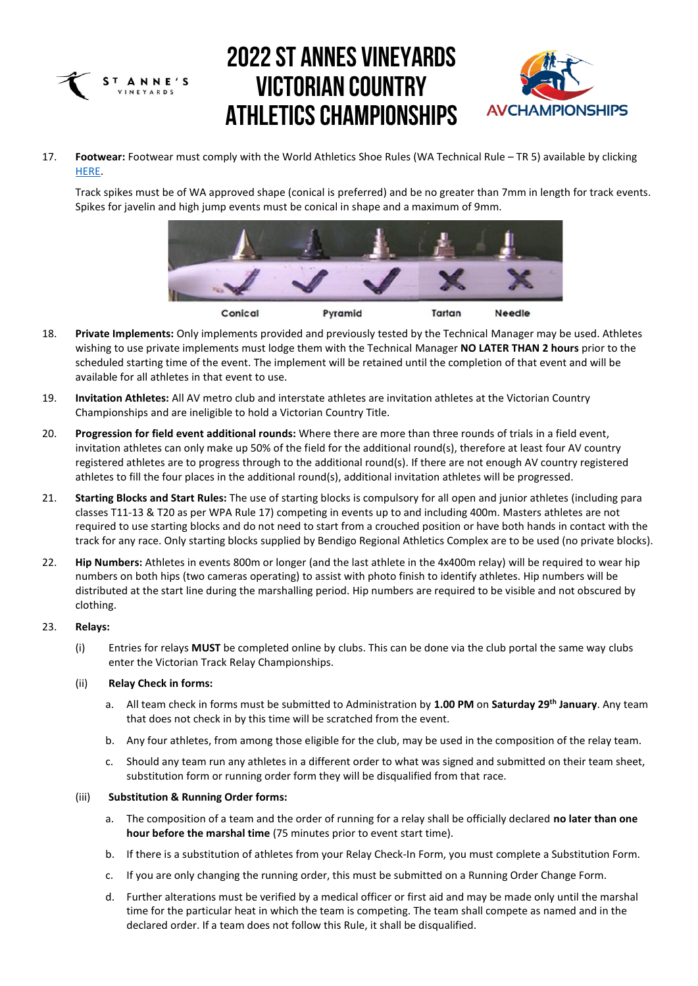



17. **Footwear:** Footwear must comply with the World Athletics Shoe Rules (WA Technical Rule – TR 5) available by clicking [HERE.](https://www.worldathletics.org/download/download?filename=3999153a-9140-46f6-adc6-0fcd3816350d.pdf&urlslug=Technical%20Rules%20(amendment%20to%20Rule%205)%20)

Track spikes must be of WA approved shape (conical is preferred) and be no greater than 7mm in length for track events. Spikes for javelin and high jump events must be conical in shape and a maximum of 9mm.



- 18. **Private Implements:** Only implements provided and previously tested by the Technical Manager may be used. Athletes wishing to use private implements must lodge them with the Technical Manager **NO LATER THAN 2 hours** prior to the scheduled starting time of the event. The implement will be retained until the completion of that event and will be available for all athletes in that event to use.
- 19. **Invitation Athletes:** All AV metro club and interstate athletes are invitation athletes at the Victorian Country Championships and are ineligible to hold a Victorian Country Title.
- 20. **Progression for field event additional rounds:** Where there are more than three rounds of trials in a field event, invitation athletes can only make up 50% of the field for the additional round(s), therefore at least four AV country registered athletes are to progress through to the additional round(s). If there are not enough AV country registered athletes to fill the four places in the additional round(s), additional invitation athletes will be progressed.
- 21. **Starting Blocks and Start Rules:** The use of starting blocks is compulsory for all open and junior athletes (including para classes T11-13 & T20 as per WPA Rule 17) competing in events up to and including 400m. Masters athletes are not required to use starting blocks and do not need to start from a crouched position or have both hands in contact with the track for any race. Only starting blocks supplied by Bendigo Regional Athletics Complex are to be used (no private blocks).
- 22. **Hip Numbers:** Athletes in events 800m or longer (and the last athlete in the 4x400m relay) will be required to wear hip numbers on both hips (two cameras operating) to assist with photo finish to identify athletes. Hip numbers will be distributed at the start line during the marshalling period. Hip numbers are required to be visible and not obscured by clothing.

#### 23. **Relays:**

(i) Entries for relays **MUST** be completed online by clubs. This can be done via the club portal the same way clubs enter the Victorian Track Relay Championships.

#### (ii) **Relay Check in forms:**

- a. All team check in forms must be submitted to Administration by **1.00 PM** on **Saturday 29 th January**. Any team that does not check in by this time will be scratched from the event.
- b. Any four athletes, from among those eligible for the club, may be used in the composition of the relay team.
- c. Should any team run any athletes in a different order to what was signed and submitted on their team sheet, substitution form or running order form they will be disqualified from that race.

#### (iii) **Substitution & Running Order forms:**

- a. The composition of a team and the order of running for a relay shall be officially declared **no later than one hour before the marshal time** (75 minutes prior to event start time).
- b. If there is a substitution of athletes from your Relay Check-In Form, you must complete a Substitution Form.
- c. If you are only changing the running order, this must be submitted on a Running Order Change Form.
- d. Further alterations must be verified by a medical officer or first aid and may be made only until the marshal time for the particular heat in which the team is competing. The team shall compete as named and in the declared order. If a team does not follow this Rule, it shall be disqualified.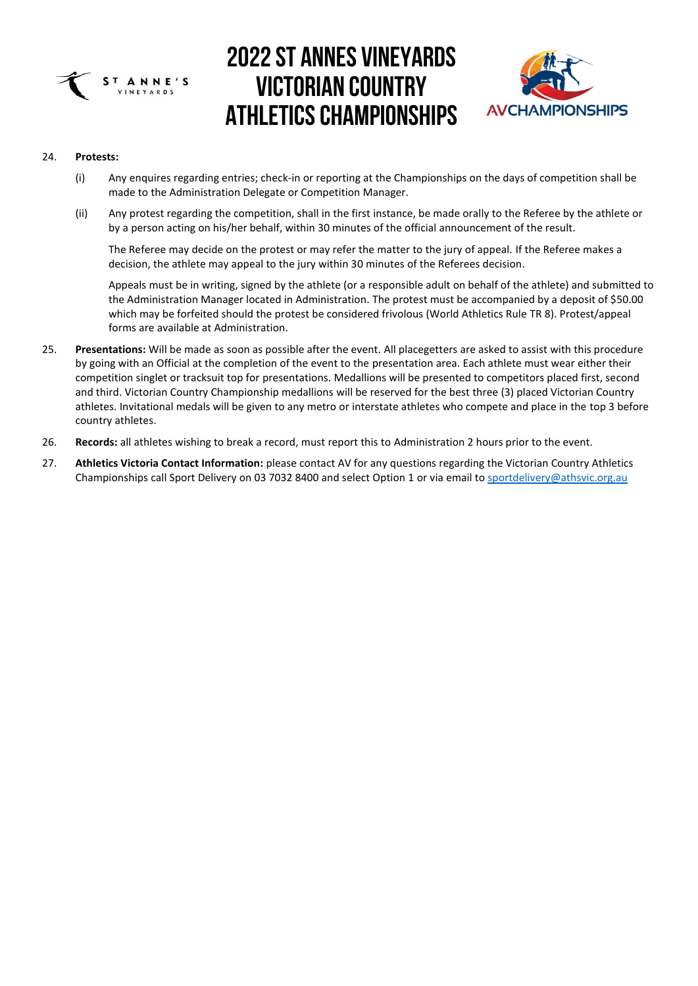



#### 24. **Protests:**

- (i) Any enquires regarding entries; check-in or reporting at the Championships on the days of competition shall be made to the Administration Delegate or Competition Manager.
- (ii) Any protest regarding the competition, shall in the first instance, be made orally to the Referee by the athlete or by a person acting on his/her behalf, within 30 minutes of the official announcement of the result.

The Referee may decide on the protest or may refer the matter to the jury of appeal. If the Referee makes a decision, the athlete may appeal to the jury within 30 minutes of the Referees decision.

Appeals must be in writing, signed by the athlete (or a responsible adult on behalf of the athlete) and submitted to the Administration Manager located in Administration. The protest must be accompanied by a deposit of \$50.00 which may be forfeited should the protest be considered frivolous (World Athletics Rule TR 8). Protest/appeal forms are available at Administration.

- 25. **Presentations:** Will be made as soon as possible after the event. All placegetters are asked to assist with this procedure by going with an Official at the completion of the event to the presentation area. Each athlete must wear either their competition singlet or tracksuit top for presentations. Medallions will be presented to competitors placed first, second and third. Victorian Country Championship medallions will be reserved for the best three (3) placed Victorian Country athletes. Invitational medals will be given to any metro or interstate athletes who compete and place in the top 3 before country athletes.
- 26. **Records:** all athletes wishing to break a record, must report this to Administration 2 hours prior to the event.
- 27. **Athletics Victoria Contact Information:** please contact AV for any questions regarding the Victorian Country Athletics Championships call Sport Delivery on 03 7032 8400 and select Option 1 or via email to [sportdelivery@athsvic.org.au](mailto:sportdelivery@athsvic.org.au)